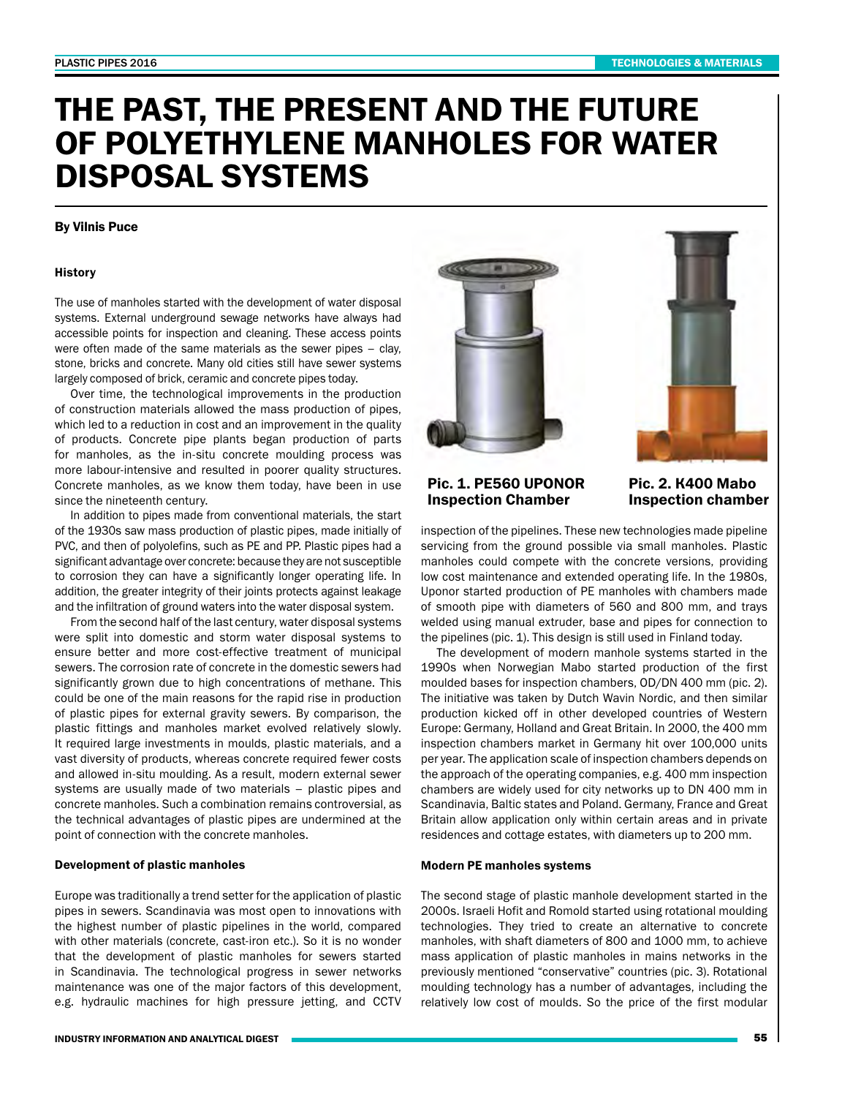# THE PAST, THE PRESENT AND THE FUTURE OF POLYETHYLENE MANHOLES FOR WATER DISPOSAL SYSTEMS

## By Vilnis Puce

## **History**

The use of manholes started with the development of water disposal systems. External underground sewage networks have always had accessible points for inspection and cleaning. These access points were often made of the same materials as the sewer pipes – clay, stone, bricks and concrete. Many old cities still have sewer systems largely composed of brick, ceramic and concrete pipes today.

Over time, the technological improvements in the production of construction materials allowed the mass production of pipes, which led to a reduction in cost and an improvement in the quality of products. Concrete pipe plants began production of parts for manholes, as the in-situ concrete moulding process was more labour-intensive and resulted in poorer quality structures. Concrete manholes, as we know them today, have been in use since the nineteenth century.

In addition to pipes made from conventional materials, the start of the 1930s saw mass production of plastic pipes, made initially of PVC, and then of polyolefins, such as PE and PP. Plastic pipes had a significant advantage over concrete: because they are not susceptible to corrosion they can have a significantly longer operating life. In addition, the greater integrity of their joints protects against leakage and the infiltration of ground waters into the water disposal system.

From the second half of the last century, water disposal systems were split into domestic and storm water disposal systems to ensure better and more cost-effective treatment of municipal sewers. The corrosion rate of concrete in the domestic sewers had significantly grown due to high concentrations of methane. This could be one of the main reasons for the rapid rise in production of plastic pipes for external gravity sewers. By comparison, the plastic fittings and manholes market evolved relatively slowly. It required large investments in moulds, plastic materials, and a vast diversity of products, whereas concrete required fewer costs and allowed in-situ moulding. As a result, modern external sewer systems are usually made of two materials – plastic pipes and concrete manholes. Such a combination remains controversial, as the technical advantages of plastic pipes are undermined at the point of connection with the concrete manholes.

### Development of plastic manholes

Europe was traditionally a trend setter for the application of plastic pipes in sewers. Scandinavia was most open to innovations with the highest number of plastic pipelines in the world, compared with other materials (concrete, cast-iron etc.). So it is no wonder that the development of plastic manholes for sewers started in Scandinavia. The technological progress in sewer networks maintenance was one of the major factors of this development, e.g. hydraulic machines for high pressure jetting, and CCTV





Pic. 1. PE560 UPONOR Inspection Chamber

Pic. 2. К400 Mabo Inspection chamber

inspection of the pipelines. These new technologies made pipeline servicing from the ground possible via small manholes. Plastic manholes could compete with the concrete versions, providing low cost maintenance and extended operating life. In the 1980s, Uponor started production of PE manholes with chambers made of smooth pipe with diameters of 560 and 800 mm, and trays welded using manual extruder, base and pipes for connection to the pipelines (pic. 1). This design is still used in Finland today.

The development of modern manhole systems started in the 1990s when Norwegian Mabo started production of the first moulded bases for inspection chambers, OD/DN 400 mm (pic. 2). The initiative was taken by Dutch Wavin Nordic, and then similar production kicked off in other developed countries of Western Europe: Germany, Holland and Great Britain. In 2000, the 400 mm inspection chambers market in Germany hit over 100,000 units per year. The application scale of inspection chambers depends on the approach of the operating companies, e.g. 400 mm inspection chambers are widely used for city networks up to DN 400 mm in Scandinavia, Baltic states and Poland. Germany, France and Great Britain allow application only within certain areas and in private residences and cottage estates, with diameters up to 200 mm.

### Modern PE manholes systems

The second stage of plastic manhole development started in the 2000s. Israeli Hofit and Romold started using rotational moulding technologies. They tried to create an alternative to concrete manholes, with shaft diameters of 800 and 1000 mm, to achieve mass application of plastic manholes in mains networks in the previously mentioned "conservative" countries (pic. 3). Rotational moulding technology has a number of advantages, including the relatively low cost of moulds. So the price of the first modular